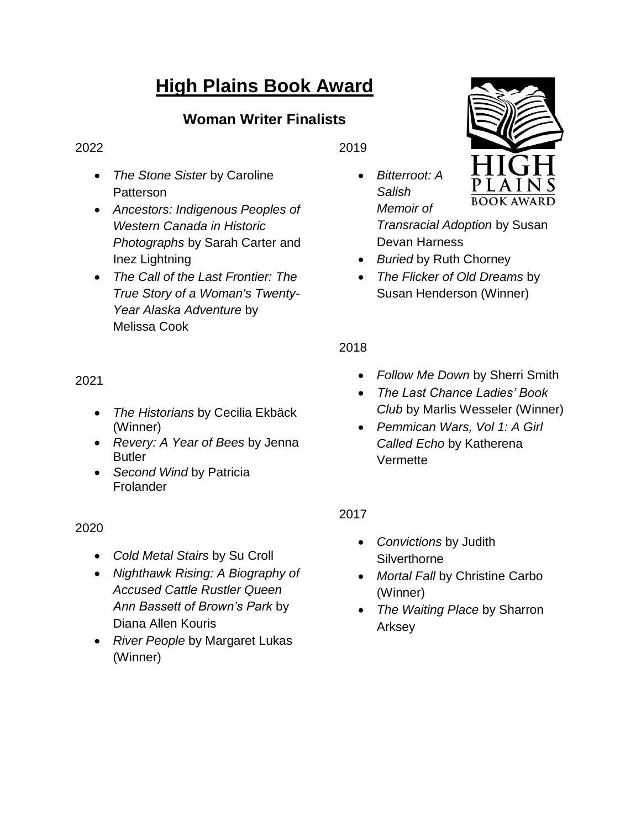# **High Plains Book Award**

# **Woman Writer Finalists**

#### 2022

- *The Stone Sister* by Caroline Patterson
- *Ancestors: Indigenous Peoples of Western Canada in Historic Photographs* by Sarah Carter and Inez Lightning
- *The Call of the Last Frontier: The True Story of a Woman's Twenty-Year Alaska Adventure* by Melissa Cook

2021

- *The Historians* by Cecilia Ekbäck (Winner)
- *Revery: A Year of Bees* by Jenna **Butler**
- *Second Wind* by Patricia Frolander

2020

- *Cold Metal Stairs* by Su Croll
- *Nighthawk Rising: A Biography of Accused Cattle Rustler Queen Ann Bassett of Brown's Park* by Diana Allen Kouris
- *River People* by Margaret Lukas (Winner)

2019

 *Bitterroot: A Salish Memoir of Transracial Adoption* by Susan

Devan Harness

- *Buried* by Ruth Chorney
- *The Flicker of Old Dreams* by Susan Henderson (Winner)

2018

- *Follow Me Down* by Sherri Smith
- *The Last Chance Ladies' Book Club* by Marlis Wesseler (Winner)
- *Pemmican Wars, Vol 1: A Girl Called Echo* by Katherena **Vermette**

2017

- *Convictions* by Judith **Silverthorne**
- *Mortal Fall* by Christine Carbo (Winner)
- *The Waiting Place* by Sharron Arksey